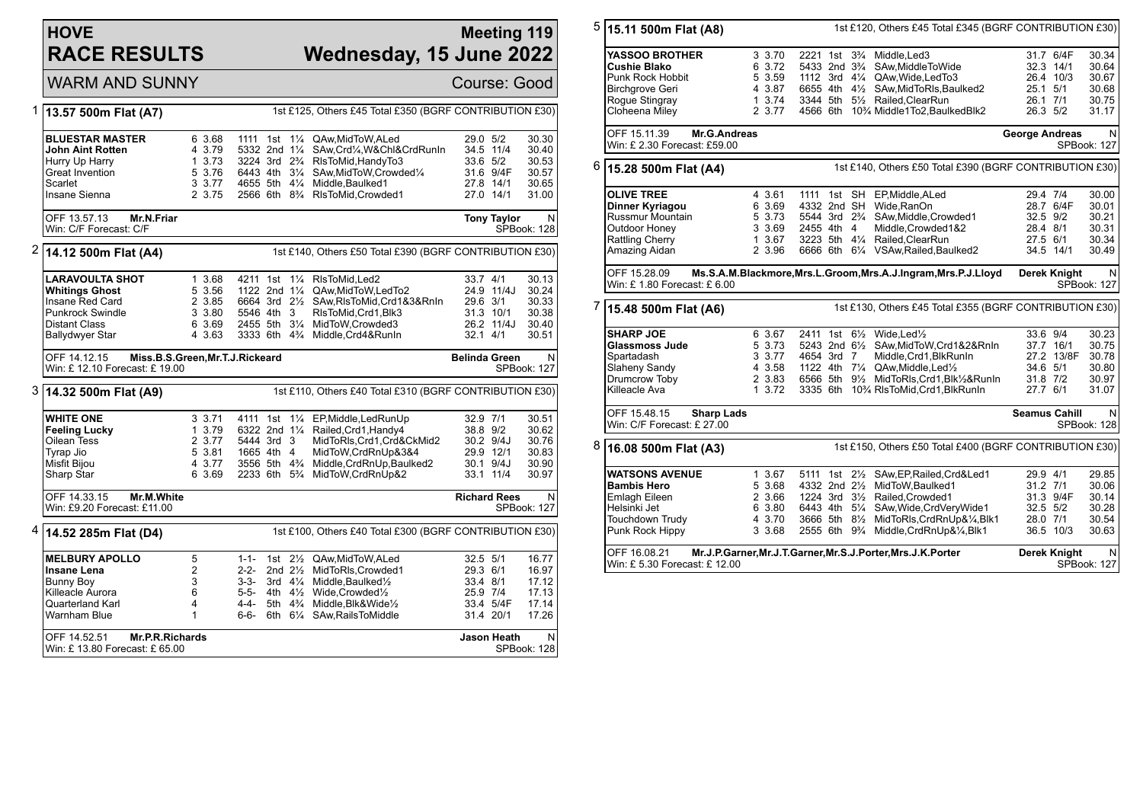## **HOVE RACE RESULTS**

## **Meeting 119 Wednesday, 15 June 2022**

WARM AND SUNNY Course: Good

| 1 | 1st £125, Others £45 Total £350 (BGRF CONTRIBUTION £30)<br>13.57 500m Flat (A7)                                  |                                                          |                                                   |  |  |                                                                                                                                                                                                                                                                                                     |                                              |                                                  |                                                    |
|---|------------------------------------------------------------------------------------------------------------------|----------------------------------------------------------|---------------------------------------------------|--|--|-----------------------------------------------------------------------------------------------------------------------------------------------------------------------------------------------------------------------------------------------------------------------------------------------------|----------------------------------------------|--------------------------------------------------|----------------------------------------------------|
|   | <b>BLUESTAR MASTER</b><br>John Aint Rotten<br>Hurry Up Harry                                                     | 6 3.68<br>4 3.79<br>1 3.73                               |                                                   |  |  | 1111 1st 11/4 QAw, MidToW, ALed<br>5332 2nd 11/4 SAw, Crd1/4, W& Chl& Crd RunIn<br>3224 3rd 2 <sup>3</sup> / <sub>4</sub> RIsToMid, Handy To 3                                                                                                                                                      | 29.0 5/2<br>33.6 5/2                         | 34.5 11/4                                        | 30.30<br>30.40<br>30.53                            |
|   | <b>Great Invention</b><br>Scarlet                                                                                | 5 3.76<br>3 3.77                                         |                                                   |  |  | 6443 4th 31/4 SAw, MidToW, Crowded 1/4<br>4655 5th 41/4 Middle, Baulked1                                                                                                                                                                                                                            |                                              | 31.6 9/4F<br>27.8 14/1                           | 30.57<br>30.65                                     |
|   | Insane Sienna                                                                                                    | 2 3.75                                                   |                                                   |  |  | 2566 6th 8 <sup>3</sup> / <sub>4</sub> RIsToMid, Crowded1                                                                                                                                                                                                                                           |                                              | 27.0 14/1                                        | 31.00                                              |
|   | OFF 13.57.13<br>Mr.N.Friar<br>Win: C/F Forecast: C/F                                                             |                                                          |                                                   |  |  |                                                                                                                                                                                                                                                                                                     |                                              | <b>Tony Taylor</b>                               | N<br>SPBook: 128                                   |
| 2 | 14.12 500m Flat (A4)                                                                                             |                                                          |                                                   |  |  | 1st £140, Others £50 Total £390 (BGRF CONTRIBUTION £30)                                                                                                                                                                                                                                             |                                              |                                                  |                                                    |
|   | <b>LARAVOULTA SHOT</b><br><b>Whitings Ghost</b><br>Insane Red Card                                               | 1 3.68<br>5 3.56<br>2 3.85                               |                                                   |  |  | 4211 1st 11/4 RIsToMid, Led2<br>1122 2nd 11/4 QAw, MidToW, LedTo2<br>6664 3rd 21/2 SAw, RIsToMid, Crd1&3& RnIn                                                                                                                                                                                      | 33.7 4/1<br>29.6 3/1                         | 24.9 11/4J                                       | 30.13<br>30.24<br>30.33                            |
|   | <b>Punkrock Swindle</b><br><b>Distant Class</b><br><b>Ballydwyer Star</b>                                        | 3 3.80<br>6 3.69<br>4 3.63                               | 5546 4th 3                                        |  |  | RIsToMid, Crd1, Blk3<br>2455 5th 31/4 MidToW, Crowded3<br>3333 6th 4 <sup>3</sup> / <sub>4</sub> Middle, Crd4& RunIn                                                                                                                                                                                | $32.1$ 4/1                                   | 31.3 10/1<br>26.2 11/4J                          | 30.38<br>30.40<br>30.51                            |
|   | OFF 14.12.15<br>Miss.B.S.Green, Mr.T.J.Rickeard<br>Win: £12.10 Forecast: £19.00                                  |                                                          |                                                   |  |  |                                                                                                                                                                                                                                                                                                     | <b>Belinda Green</b>                         |                                                  | N<br><b>SPBook: 127</b>                            |
|   | 3 14.32 500m Flat (A9)                                                                                           |                                                          |                                                   |  |  | 1st £110, Others £40 Total £310 (BGRF CONTRIBUTION £30)                                                                                                                                                                                                                                             |                                              |                                                  |                                                    |
|   | <b>WHITE ONE</b><br><b>Feeling Lucky</b><br>Oilean Tess<br>Tyrap Jio<br>Misfit Bijou<br>Sharp Star               | 3 3.71<br>1 3.79<br>2 3.77<br>5 3.81<br>4 3.77<br>6 3.69 | 4111 1st<br>5444 3rd 3<br>1665 4th 4              |  |  | 11/4 EP, Middle, Led Run Up<br>6322 2nd 11/4 Railed, Crd1, Handy4<br>MidToRIs, Crd1, Crd&CkMid2<br>MidToW,CrdRnUp&3&4<br>3556 5th 4 <sup>3</sup> / <sub>4</sub> Middle, CrdRnUp, Baulked 2<br>2233 6th 5% MidToW, CrdRnUp&2                                                                         | 32.9 7/1<br>38.8 9/2                         | 30.2 9/4J<br>29.9 12/1<br>30.1 9/4J<br>33.1 11/4 | 30.51<br>30.62<br>30.76<br>30.83<br>30.90<br>30.97 |
|   | OFF 14.33.15<br>Mr.M.White<br>Win: £9.20 Forecast: £11.00                                                        |                                                          |                                                   |  |  |                                                                                                                                                                                                                                                                                                     |                                              | <b>Richard Rees</b>                              | N<br><b>SPBook: 127</b>                            |
| 4 | 14.52 285m Flat (D4)                                                                                             |                                                          |                                                   |  |  | 1st £100, Others £40 Total £300 (BGRF CONTRIBUTION £30)                                                                                                                                                                                                                                             |                                              |                                                  |                                                    |
|   | <b>MELBURY APOLLO</b><br>Insane Lena<br><b>Bunny Boy</b><br>Killeacle Aurora<br>Quarterland Karl<br>Warnham Blue | 5<br>2<br>3<br>6<br>4<br>$\mathbf{1}$                    | 1-1-<br>2-2-<br>$3 - 3 -$<br>5-5-<br>4-4-<br>6-6- |  |  | 1st 21/2 QAw, MidToW, ALed<br>2nd 21/2 MidToRIs, Crowded1<br>3rd $4\frac{1}{4}$ Middle, Baulked $\frac{1}{2}$<br>4th 41/ <sub>2</sub> Wide, Crowded <sup>1</sup> / <sub>2</sub><br>5th 4 <sup>3</sup> / <sub>4</sub> Middle, Blk& Wide <sup>1</sup> / <sub>2</sub><br>6th 61/4 SAw, Rails To Middle | 32.5 5/1<br>29.3 6/1<br>33.4 8/1<br>25.9 7/4 | 33.4 5/4F<br>31.4 20/1                           | 16.77<br>16.97<br>17.12<br>17.13<br>17.14<br>17.26 |
|   | OFF 14.52.51<br>Mr.P.R.Richards                                                                                  |                                                          |                                                   |  |  |                                                                                                                                                                                                                                                                                                     |                                              | Jason Heath                                      | N                                                  |

| 5 | 15.11 500m Flat (A8)                                            |                  |                                        |  | 1st £120, Others £45 Total £345 (BGRF CONTRIBUTION £30)                                    |                       |                        |                  |
|---|-----------------------------------------------------------------|------------------|----------------------------------------|--|--------------------------------------------------------------------------------------------|-----------------------|------------------------|------------------|
|   |                                                                 |                  |                                        |  |                                                                                            |                       |                        |                  |
|   | YASSOO BROTHER                                                  | 3 3.70           |                                        |  | 2221 1st 3 <sup>3</sup> / <sub>4</sub> Middle, Led 3                                       |                       | 31.7 6/4F              | 30.34            |
|   | Cushie Blako                                                    | 6 3.72<br>5 3.59 | 5433 2nd 3 <sup>3</sup> / <sub>4</sub> |  | SAw, Middle To Wide<br>1112 3rd 41/4 QAw, Wide, Led To 3                                   |                       | 32.3 14/1<br>26.4 10/3 | 30.64<br>30.67   |
|   | Punk Rock Hobbit<br>Birchgrove Geri                             | 4 3.87           |                                        |  | 6655 4th 41/2 SAw, Mid To RIs, Baulked 2                                                   | 25.1 5/1              |                        | 30.68            |
|   | Rogue Stingray                                                  | 1 3.74           |                                        |  | 3344 5th 51/2 Railed, ClearRun                                                             | 26.1 7/1              |                        | 30.75            |
|   | Cloheena Miley                                                  | 2 3.77           |                                        |  | 4566 6th 10 <sup>3</sup> / <sub>4</sub> Middle1To2.BaulkedBlk2                             | 26.3 5/2              |                        | 31.17            |
|   |                                                                 |                  |                                        |  |                                                                                            |                       |                        |                  |
|   | OFF 15.11.39<br>Mr.G.Andreas                                    |                  |                                        |  |                                                                                            | <b>George Andreas</b> |                        | N                |
|   | Win: £ 2.30 Forecast: £59.00                                    |                  |                                        |  |                                                                                            |                       |                        | SPBook: 127      |
| 6 | 15.28 500m Flat (A4)                                            |                  |                                        |  | 1st £140, Others £50 Total £390 (BGRF CONTRIBUTION £30)                                    |                       |                        |                  |
|   |                                                                 |                  |                                        |  |                                                                                            |                       |                        |                  |
|   | <b>OLIVE TREE</b>                                               | 4 3.61<br>6 3.69 | 4332 2nd SH                            |  | 1111 1st SH EP, Middle, ALed<br>Wide.RanOn                                                 | 29.4 7/4              | 28.7 6/4F              | 30.00            |
|   | Dinner Kyriagou<br>Russmur Mountain                             | 5 3.73           |                                        |  | 5544 3rd 2 <sup>3</sup> / <sub>4</sub> SAw, Middle, Crowded 1                              | 32.5 9/2              |                        | 30.01<br>30.21   |
|   | Outdoor Honey                                                   | 3 3.69           | 2455 4th 4                             |  | Middle, Crowded1&2                                                                         | 28.4 8/1              |                        | 30.31            |
|   | Rattling Cherry                                                 | 1 3.67           |                                        |  | 3223 5th 41/4 Railed, ClearRun                                                             | 27.5 6/1              |                        | 30.34            |
|   | Amazing Aidan                                                   | 2 3.96           |                                        |  | 6666 6th 61/4 VSAw, Railed, Baulked2                                                       |                       | 34.5 14/1              | 30.49            |
|   |                                                                 |                  |                                        |  |                                                                                            |                       |                        |                  |
|   | OFF 15.28.09                                                    |                  |                                        |  | Ms.S.A.M.Blackmore, Mrs.L.Groom, Mrs.A.J.Ingram, Mrs.P.J.Lloyd                             |                       | Derek Knight           | N                |
|   | Win: £1.80 Forecast: £6.00                                      |                  |                                        |  |                                                                                            |                       |                        | SPBook: 127      |
| 7 | 15.48 500m Flat (A6)                                            |                  |                                        |  | 1st £130, Others £45 Total £355 (BGRF CONTRIBUTION £30)                                    |                       |                        |                  |
|   | <b>SHARP JOE</b>                                                | 6 3.67           |                                        |  | 2411 1st 61/ <sub>2</sub> Wide, Led <sup>1</sup> / <sub>2</sub>                            | 33.6 9/4              |                        | 30.23            |
|   | Glassmoss Jude                                                  | 5 3.73           |                                        |  | 5243 2nd 61/2 SAw, MidToW, Crd1&2&RnIn                                                     |                       | 37.7 16/1              | 30.75            |
|   | Spartadash                                                      | 3 3.77           | 4654 3rd 7                             |  | Middle, Crd1, BlkRunIn                                                                     |                       | 27.2 13/8F             | 30.78            |
|   | Slaheny Sandy                                                   | 4 3.58           |                                        |  | 1122 4th 71/4 QAw, Middle, Led <sup>1</sup> / <sub>2</sub>                                 | 34.6 5/1              |                        | 30.80            |
|   | Drumcrow Toby                                                   | 2 3.83           |                                        |  | 6566 5th 91/2 MidToRIs, Crd1, Blk1/2&RunIn                                                 | 31.8 7/2              |                        | 30.97            |
|   | Killeacle Ava                                                   | 1 3.72           |                                        |  | 3335 6th 10% RIsToMid, Crd1, BlkRunIn                                                      | 27.7 6/1              |                        | 31.07            |
|   | OFF 15.48.15<br><b>Sharp Lads</b><br>Win: C/F Forecast: £ 27.00 |                  |                                        |  |                                                                                            | <b>Seamus Cahill</b>  |                        | N<br>SPBook: 128 |
| 8 |                                                                 |                  |                                        |  | 1st £150, Others £50 Total £400 (BGRF CONTRIBUTION £30)                                    |                       |                        |                  |
|   |                                                                 |                  |                                        |  |                                                                                            |                       |                        |                  |
|   | 16.08 500m Flat (A3)                                            |                  |                                        |  |                                                                                            |                       |                        |                  |
|   | <b>WATSONS AVENUE</b>                                           | 1 3.67           |                                        |  | 5111 1st 21/2 SAw, EP, Railed, Crd&Led1                                                    | 29.9 4/1              |                        | 29.85            |
|   | <b>Bambis Hero</b>                                              | 5 3.68           |                                        |  | 4332 2nd 21/ <sub>2</sub> MidToW.Baulked1                                                  | 31.2 7/1              |                        | 30.06            |
|   | Emlagh Eileen                                                   | 2 3.66           |                                        |  | 1224 3rd 31/2 Railed, Crowded1                                                             |                       | 31.3 9/4F              | 30.14            |
|   | Helsinki Jet                                                    | 6 3.80           |                                        |  | 6443 4th 51/4 SAw, Wide, CrdVery Wide1                                                     | 32.5 5/2              |                        | 30.28            |
|   | Touchdown Trudy                                                 | 4 3.70           |                                        |  | 3666 5th 81/2 MidToRIs, CrdRnUp&1/4, Blk1                                                  | 28.0 7/1              |                        | 30.54            |
|   | Punk Rock Hippy                                                 | 3 3.68           |                                        |  | 2555 6th 9 <sup>3</sup> / <sub>4</sub> Middle, CrdRnUp& <sup>1</sup> / <sub>4</sub> , Blk1 |                       | 36.5 10/3              | 30.63            |
|   | OFF 16.08.21                                                    |                  |                                        |  | Mr.J.P.Garner, Mr.J.T.Garner, Mr.S.J.Porter, Mrs.J.K.Porter                                |                       | Derek Knight           | N                |